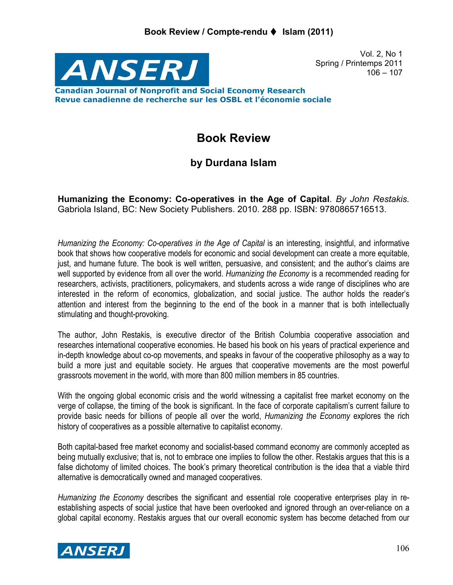## **Book Review / Compte-rendu Islam (2011)**



Vol. 2, No 1 Spring / Printemps 2011  $106 - 107$ 

**Canadian Journal of Nonprofit and Social Economy Research Revue canadienne de recherche sur les OSBL et l'économie sociale**

# **Book Review**

# **by Durdana Islam**

**Humanizing the Economy: Co-operatives in the Age of Capital**. *By John Restakis.* Gabriola Island, BC: New Society Publishers. 2010. 288 pp. ISBN: 9780865716513.

Humanizing the Economy: Co-operatives in the Age of Capital is an interesting, insightful, and informative book that shows how cooperative models for economic and social development can create a more equitable, just, and humane future. The book is well written, persuasive, and consistent; and the author's claims are well supported by evidence from all over the world. *Humanizing the Economy* is a recommended reading for researchers, activists, practitioners, policymakers, and students across a wide range of disciplines who are interested in the reform of economics, globalization, and social justice. The author holds the reader's attention and interest from the beginning to the end of the book in a manner that is both intellectually stimulating and thought-provoking.

The author, John Restakis, is executive director of the British Columbia cooperative association and researches international cooperative economies. He based his book on his years of practical experience and in-depth knowledge about co-op movements, and speaks in favour of the cooperative philosophy as a way to build a more just and equitable society. He argues that cooperative movements are the most powerful grassroots movement in the world, with more than 800 million members in 85 countries.

With the ongoing global economic crisis and the world witnessing a capitalist free market economy on the verge of collapse, the timing of the book is significant. In the face of corporate capitalism's current failure to provide basic needs for billions of people all over the world, *Humanizing the Economy* explores the rich history of cooperatives as a possible alternative to capitalist economy.

Both capital-based free market economy and socialist-based command economy are commonly accepted as being mutually exclusive; that is, not to embrace one implies to follow the other. Restakis argues that this is a false dichotomy of limited choices. The book's primary theoretical contribution is the idea that a viable third alternative is democratically owned and managed cooperatives.

*Humanizing the Economy* describes the significant and essential role cooperative enterprises play in reestablishing aspects of social justice that have been overlooked and ignored through an over-reliance on a global capital economy. Restakis argues that our overall economic system has become detached from our